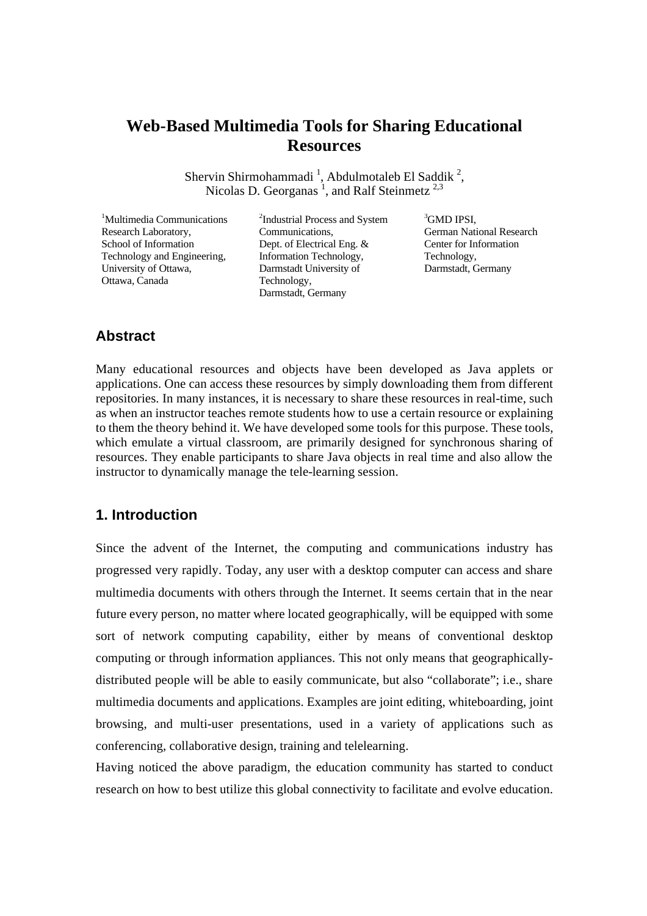# **Web-Based Multimedia Tools for Sharing Educational Resources**

Shervin Shirmohammadi<sup>1</sup>, Abdulmotaleb El Saddik<sup>2</sup>, Nicolas D. Georganas<sup>1</sup>, and Ralf Steinmetz<sup>2,3</sup>

<sup>1</sup>Multimedia Communications Research Laboratory, School of Information Technology and Engineering, University of Ottawa, Ottawa, Canada

<sup>2</sup>Industrial Process and System Communications, Dept. of Electrical Eng. & Information Technology, Darmstadt University of Technology, Darmstadt, Germany

<sup>3</sup>GMD IPSI. German National Research Center for Information Technology, Darmstadt, Germany

# **Abstract**

Many educational resources and objects have been developed as Java applets or applications. One can access these resources by simply downloading them from different repositories. In many instances, it is necessary to share these resources in real-time, such as when an instructor teaches remote students how to use a certain resource or explaining to them the theory behind it. We have developed some tools for this purpose. These tools, which emulate a virtual classroom, are primarily designed for synchronous sharing of resources. They enable participants to share Java objects in real time and also allow the instructor to dynamically manage the tele-learning session.

# **1. Introduction**

Since the advent of the Internet, the computing and communications industry has progressed very rapidly. Today, any user with a desktop computer can access and share multimedia documents with others through the Internet. It seems certain that in the near future every person, no matter where located geographically, will be equipped with some sort of network computing capability, either by means of conventional desktop computing or through information appliances. This not only means that geographicallydistributed people will be able to easily communicate, but also "collaborate"; i.e., share multimedia documents and applications. Examples are joint editing, whiteboarding, joint browsing, and multi-user presentations, used in a variety of applications such as conferencing, collaborative design, training and telelearning.

Having noticed the above paradigm, the education community has started to conduct research on how to best utilize this global connectivity to facilitate and evolve education.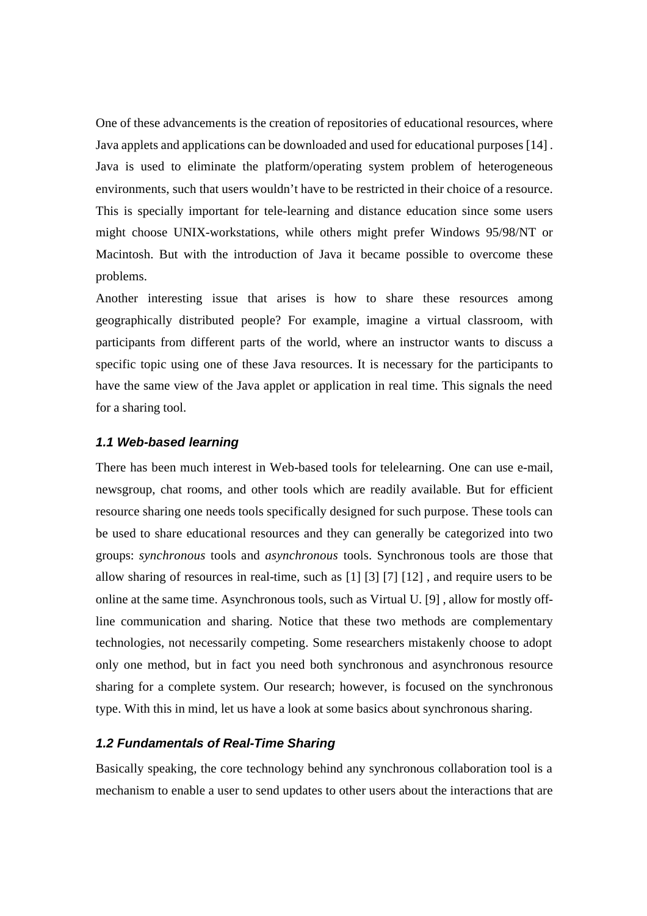One of these advancements is the creation of repositories of educational resources, where Java applets and applications can be downloaded and used for educational purposes [14] . Java is used to eliminate the platform/operating system problem of heterogeneous environments, such that users wouldn't have to be restricted in their choice of a resource. This is specially important for tele-learning and distance education since some users might choose UNIX-workstations, while others might prefer Windows 95/98/NT or Macintosh. But with the introduction of Java it became possible to overcome these problems.

Another interesting issue that arises is how to share these resources among geographically distributed people? For example, imagine a virtual classroom, with participants from different parts of the world, where an instructor wants to discuss a specific topic using one of these Java resources. It is necessary for the participants to have the same view of the Java applet or application in real time. This signals the need for a sharing tool.

#### *1.1 Web-based learning*

There has been much interest in Web-based tools for telelearning. One can use e-mail, newsgroup, chat rooms, and other tools which are readily available. But for efficient resource sharing one needs tools specifically designed for such purpose. These tools can be used to share educational resources and they can generally be categorized into two groups: *synchronous* tools and *asynchronous* tools. Synchronous tools are those that allow sharing of resources in real-time, such as [1] [3] [7] [12] , and require users to be online at the same time. Asynchronous tools, such as Virtual U. [9] , allow for mostly offline communication and sharing. Notice that these two methods are complementary technologies, not necessarily competing. Some researchers mistakenly choose to adopt only one method, but in fact you need both synchronous and asynchronous resource sharing for a complete system. Our research; however, is focused on the synchronous type. With this in mind, let us have a look at some basics about synchronous sharing.

#### *1.2 Fundamentals of Real-Time Sharing*

Basically speaking, the core technology behind any synchronous collaboration tool is a mechanism to enable a user to send updates to other users about the interactions that are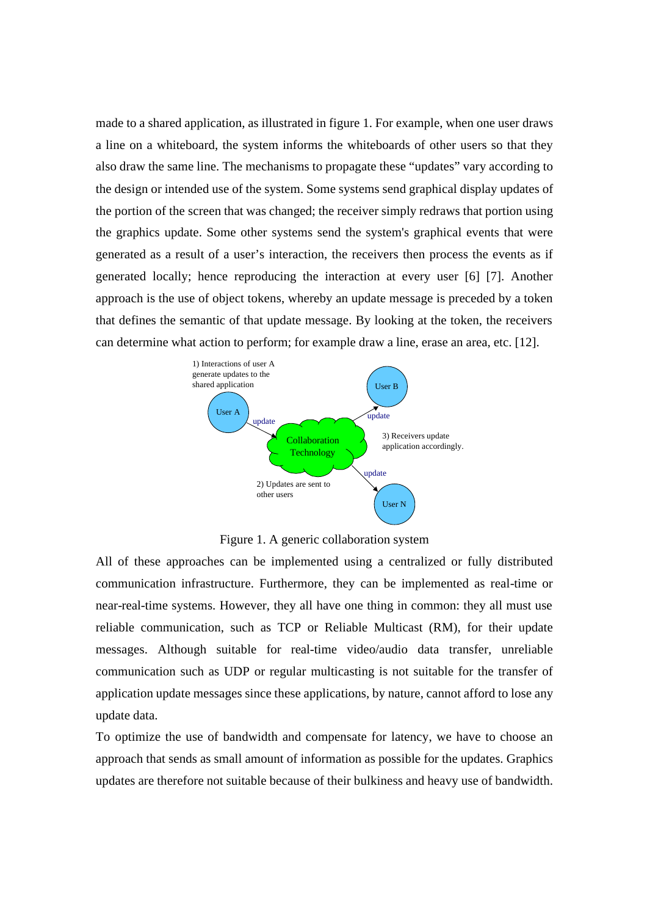made to a shared application, as illustrated in figure 1. For example, when one user draws a line on a whiteboard, the system informs the whiteboards of other users so that they also draw the same line. The mechanisms to propagate these "updates" vary according to the design or intended use of the system. Some systems send graphical display updates of the portion of the screen that was changed; the receiver simply redraws that portion using the graphics update. Some other systems send the system's graphical events that were generated as a result of a user's interaction, the receivers then process the events as if generated locally; hence reproducing the interaction at every user [6] [7]. Another approach is the use of object tokens, whereby an update message is preceded by a token that defines the semantic of that update message. By looking at the token, the receivers can determine what action to perform; for example draw a line, erase an area, etc. [12].



Figure 1. A generic collaboration system

All of these approaches can be implemented using a centralized or fully distributed communication infrastructure. Furthermore, they can be implemented as real-time or near-real-time systems. However, they all have one thing in common: they all must use reliable communication, such as TCP or Reliable Multicast (RM), for their update messages. Although suitable for real-time video/audio data transfer, unreliable communication such as UDP or regular multicasting is not suitable for the transfer of application update messages since these applications, by nature, cannot afford to lose any update data.

To optimize the use of bandwidth and compensate for latency, we have to choose an approach that sends as small amount of information as possible for the updates. Graphics updates are therefore not suitable because of their bulkiness and heavy use of bandwidth.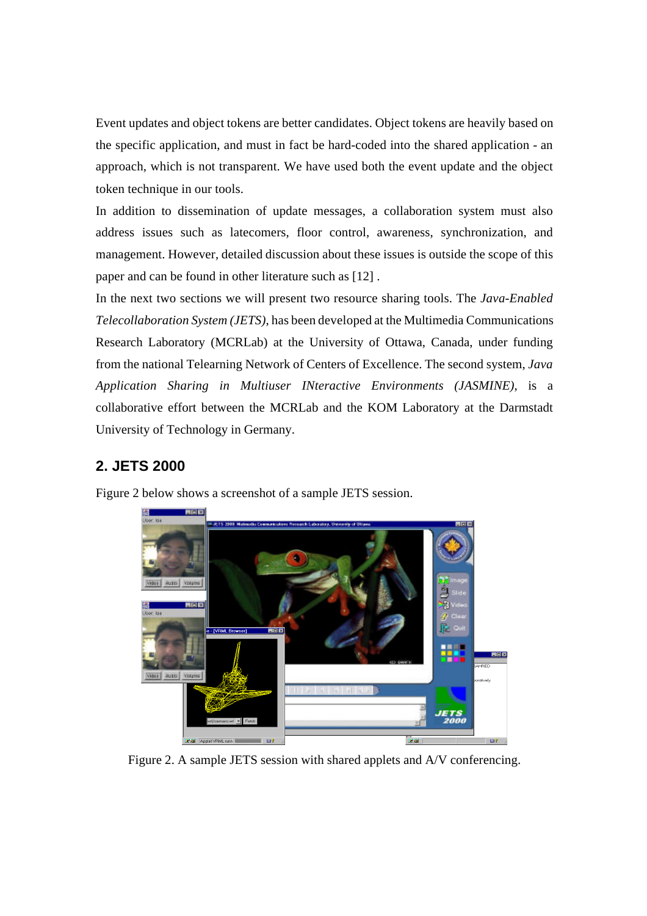Event updates and object tokens are better candidates. Object tokens are heavily based on the specific application, and must in fact be hard-coded into the shared application - an approach, which is not transparent. We have used both the event update and the object token technique in our tools.

In addition to dissemination of update messages, a collaboration system must also address issues such as latecomers, floor control, awareness, synchronization, and management. However, detailed discussion about these issues is outside the scope of this paper and can be found in other literature such as [12] .

In the next two sections we will present two resource sharing tools. The *Java-Enabled Telecollaboration System (JETS)*, has been developed at the Multimedia Communications Research Laboratory (MCRLab) at the University of Ottawa, Canada, under funding from the national Telearning Network of Centers of Excellence. The second system, *Java Application Sharing in Multiuser INteractive Environments (JASMINE)*, is a collaborative effort between the MCRLab and the KOM Laboratory at the Darmstadt University of Technology in Germany.

# **2. JETS 2000**

**Ted vill** Austin-**IETS**<br>2000  $1230$ 

Figure 2 below shows a screenshot of a sample JETS session.

Figure 2. A sample JETS session with shared applets and A/V conferencing.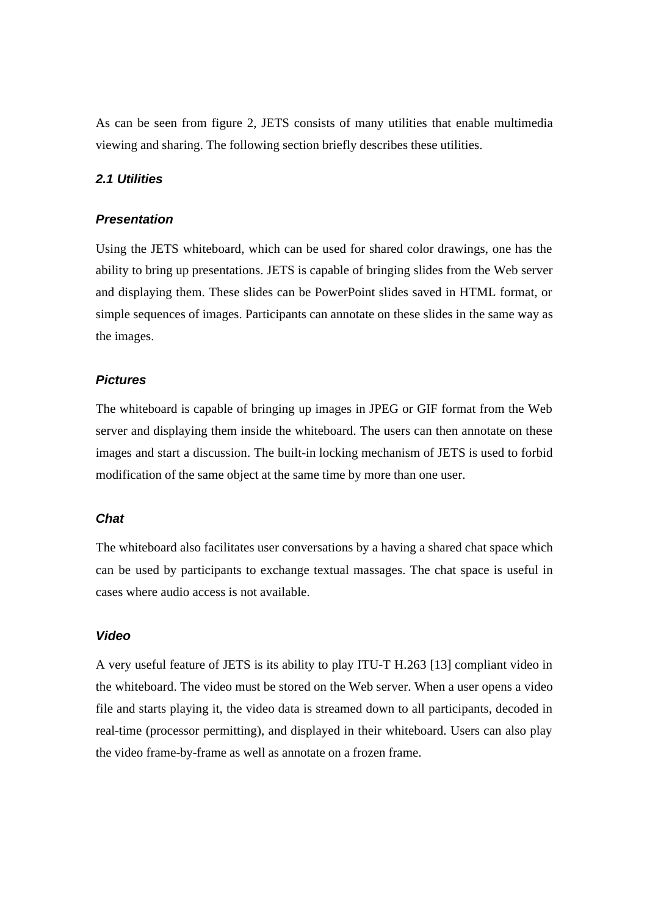As can be seen from figure 2, JETS consists of many utilities that enable multimedia viewing and sharing. The following section briefly describes these utilities.

### *2.1 Utilities*

#### *Presentation*

Using the JETS whiteboard, which can be used for shared color drawings, one has the ability to bring up presentations. JETS is capable of bringing slides from the Web server and displaying them. These slides can be PowerPoint slides saved in HTML format, or simple sequences of images. Participants can annotate on these slides in the same way as the images.

#### *Pictures*

The whiteboard is capable of bringing up images in JPEG or GIF format from the Web server and displaying them inside the whiteboard. The users can then annotate on these images and start a discussion. The built-in locking mechanism of JETS is used to forbid modification of the same object at the same time by more than one user.

### *Chat*

The whiteboard also facilitates user conversations by a having a shared chat space which can be used by participants to exchange textual massages. The chat space is useful in cases where audio access is not available.

#### *Video*

A very useful feature of JETS is its ability to play ITU-T H.263 [13] compliant video in the whiteboard. The video must be stored on the Web server. When a user opens a video file and starts playing it, the video data is streamed down to all participants, decoded in real-time (processor permitting), and displayed in their whiteboard. Users can also play the video frame-by-frame as well as annotate on a frozen frame.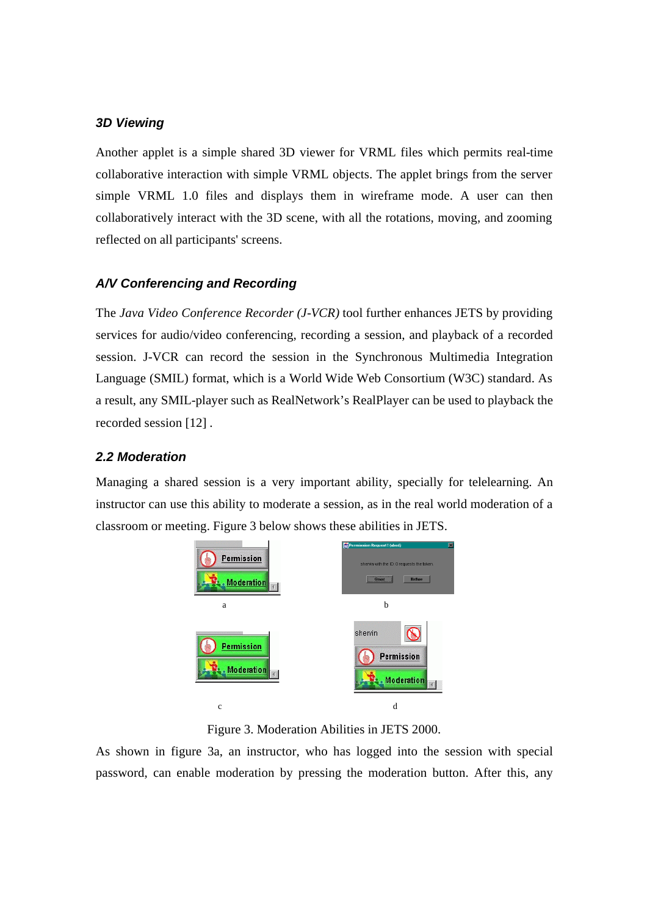#### *3D Viewing*

Another applet is a simple shared 3D viewer for VRML files which permits real-time collaborative interaction with simple VRML objects. The applet brings from the server simple VRML 1.0 files and displays them in wireframe mode. A user can then collaboratively interact with the 3D scene, with all the rotations, moving, and zooming reflected on all participants' screens.

## *A/V Conferencing and Recording*

The *Java Video Conference Recorder (J-VCR)* tool further enhances JETS by providing services for audio/video conferencing, recording a session, and playback of a recorded session. J-VCR can record the session in the Synchronous Multimedia Integration Language (SMIL) format, which is a World Wide Web Consortium (W3C) standard. As a result, any SMIL-player such as RealNetwork's RealPlayer can be used to playback the recorded session [12] .

#### *2.2 Moderation*

Managing a shared session is a very important ability, specially for telelearning. An instructor can use this ability to moderate a session, as in the real world moderation of a classroom or meeting. Figure 3 below shows these abilities in JETS.



Figure 3. Moderation Abilities in JETS 2000.

As shown in figure 3a, an instructor, who has logged into the session with special password, can enable moderation by pressing the moderation button. After this, any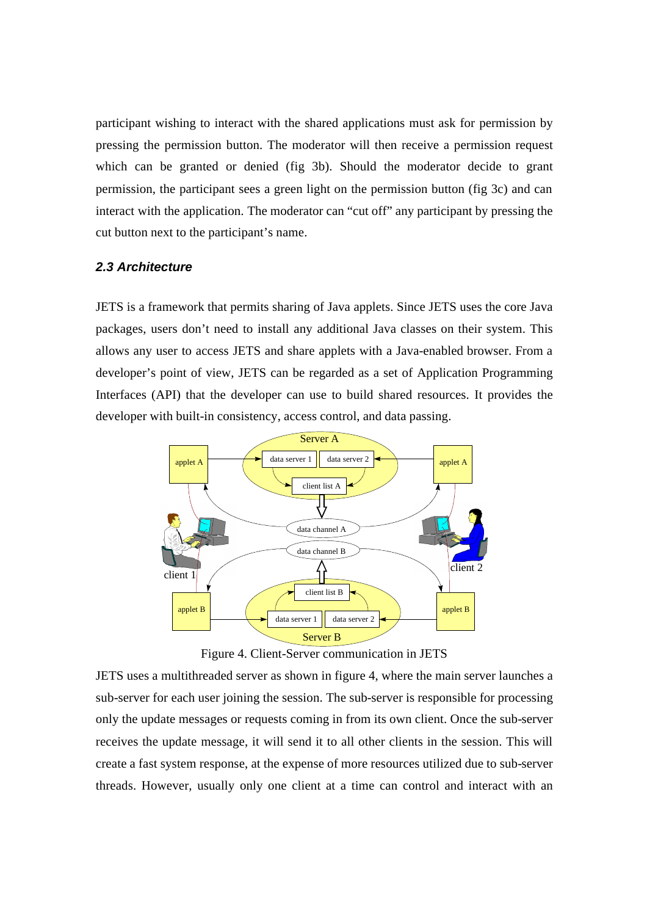participant wishing to interact with the shared applications must ask for permission by pressing the permission button. The moderator will then receive a permission request which can be granted or denied (fig 3b). Should the moderator decide to grant permission, the participant sees a green light on the permission button (fig 3c) and can interact with the application. The moderator can "cut off" any participant by pressing the cut button next to the participant's name.

### *2.3 Architecture*

JETS is a framework that permits sharing of Java applets. Since JETS uses the core Java packages, users don't need to install any additional Java classes on their system. This allows any user to access JETS and share applets with a Java-enabled browser. From a developer's point of view, JETS can be regarded as a set of Application Programming Interfaces (API) that the developer can use to build shared resources. It provides the developer with built-in consistency, access control, and data passing.



Figure 4. Client-Server communication in JETS

JETS uses a multithreaded server as shown in figure 4, where the main server launches a sub-server for each user joining the session. The sub-server is responsible for processing only the update messages or requests coming in from its own client. Once the sub-server receives the update message, it will send it to all other clients in the session. This will create a fast system response, at the expense of more resources utilized due to sub-server threads. However, usually only one client at a time can control and interact with an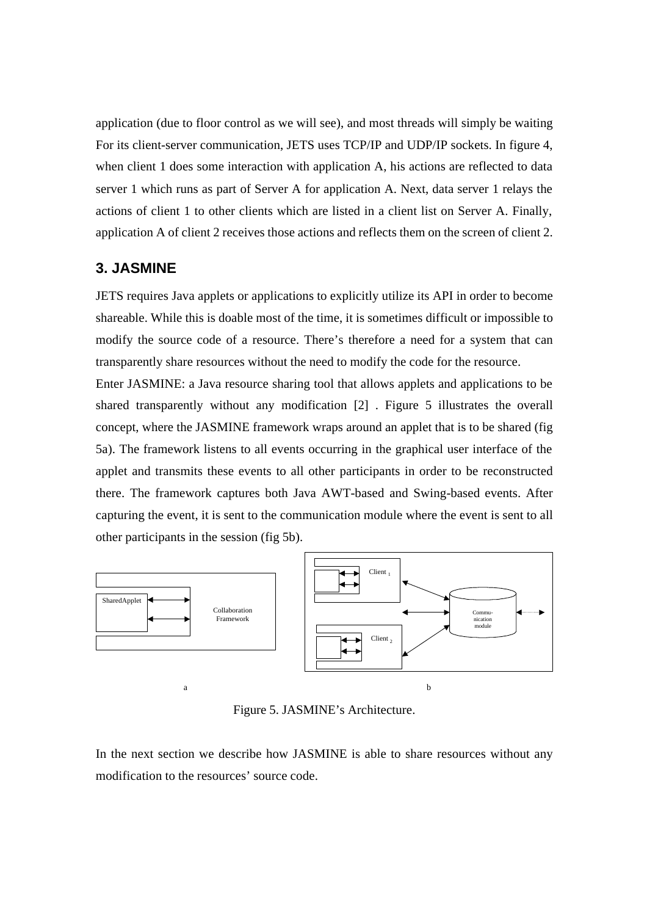application (due to floor control as we will see), and most threads will simply be waiting For its client-server communication, JETS uses TCP/IP and UDP/IP sockets. In figure 4, when client 1 does some interaction with application A, his actions are reflected to data server 1 which runs as part of Server A for application A. Next, data server 1 relays the actions of client 1 to other clients which are listed in a client list on Server A. Finally, application A of client 2 receives those actions and reflects them on the screen of client 2.

# **3. JASMINE**

JETS requires Java applets or applications to explicitly utilize its API in order to become shareable. While this is doable most of the time, it is sometimes difficult or impossible to modify the source code of a resource. There's therefore a need for a system that can transparently share resources without the need to modify the code for the resource.

Enter JASMINE: a Java resource sharing tool that allows applets and applications to be shared transparently without any modification [2] . Figure 5 illustrates the overall concept, where the JASMINE framework wraps around an applet that is to be shared (fig 5a). The framework listens to all events occurring in the graphical user interface of the applet and transmits these events to all other participants in order to be reconstructed there. The framework captures both Java AWT-based and Swing-based events. After capturing the event, it is sent to the communication module where the event is sent to all other participants in the session (fig 5b).



Figure 5. JASMINE's Architecture.

In the next section we describe how JASMINE is able to share resources without any modification to the resources' source code.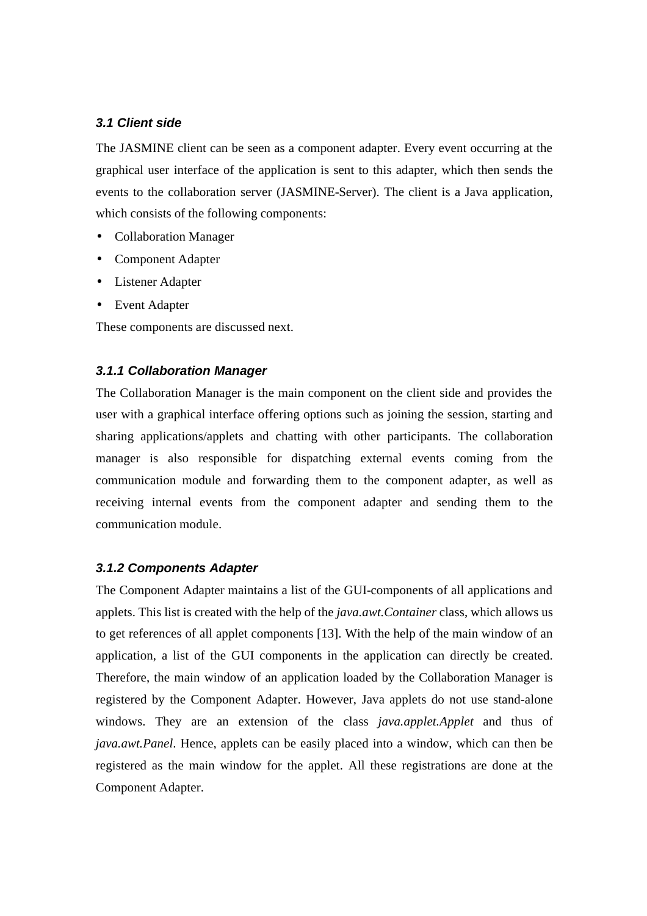#### *3.1 Client side*

The JASMINE client can be seen as a component adapter. Every event occurring at the graphical user interface of the application is sent to this adapter, which then sends the events to the collaboration server (JASMINE-Server). The client is a Java application, which consists of the following components:

- Collaboration Manager
- Component Adapter
- Listener Adapter
- Event Adapter

These components are discussed next.

### *3.1.1 Collaboration Manager*

The Collaboration Manager is the main component on the client side and provides the user with a graphical interface offering options such as joining the session, starting and sharing applications/applets and chatting with other participants. The collaboration manager is also responsible for dispatching external events coming from the communication module and forwarding them to the component adapter, as well as receiving internal events from the component adapter and sending them to the communication module.

#### *3.1.2 Components Adapter*

The Component Adapter maintains a list of the GUI-components of all applications and applets. This list is created with the help of the *java.awt.Container* class, which allows us to get references of all applet components [13]. With the help of the main window of an application, a list of the GUI components in the application can directly be created. Therefore, the main window of an application loaded by the Collaboration Manager is registered by the Component Adapter. However, Java applets do not use stand-alone windows. They are an extension of the class *java.applet.Applet* and thus of *java.awt.Panel*. Hence, applets can be easily placed into a window, which can then be registered as the main window for the applet. All these registrations are done at the Component Adapter.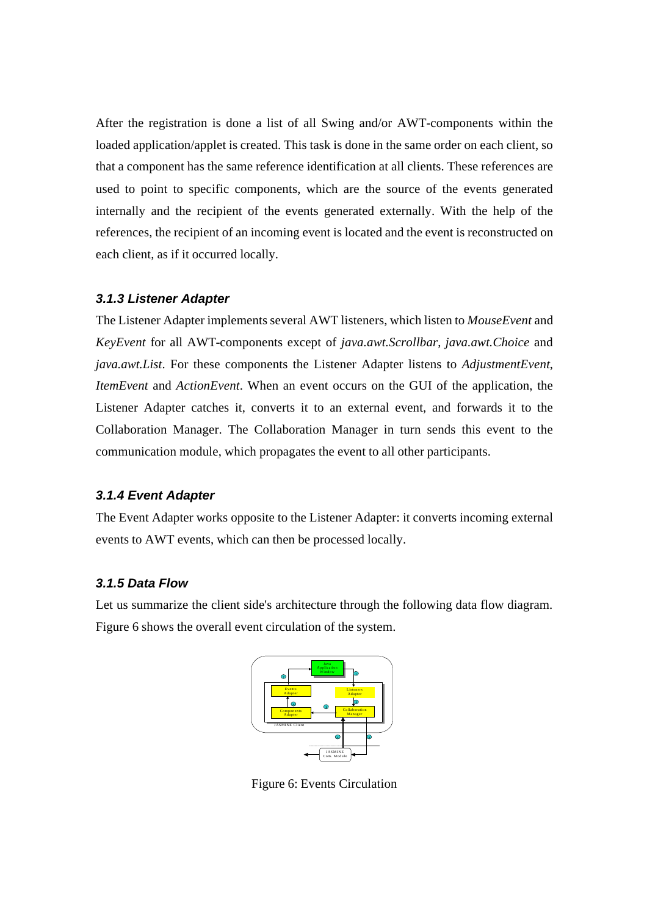After the registration is done a list of all Swing and/or AWT-components within the loaded application/applet is created. This task is done in the same order on each client, so that a component has the same reference identification at all clients. These references are used to point to specific components, which are the source of the events generated internally and the recipient of the events generated externally. With the help of the references, the recipient of an incoming event is located and the event is reconstructed on each client, as if it occurred locally.

#### *3.1.3 Listener Adapter*

The Listener Adapter implements several AWT listeners, which listen to *MouseEvent* and *KeyEvent* for all AWT-components except of *java.awt.Scrollbar*, *java.awt.Choice* and *java.awt.List*. For these components the Listener Adapter listens to *AdjustmentEvent*, *ItemEvent* and *ActionEvent*. When an event occurs on the GUI of the application, the Listener Adapter catches it, converts it to an external event, and forwards it to the Collaboration Manager. The Collaboration Manager in turn sends this event to the communication module, which propagates the event to all other participants.

## *3.1.4 Event Adapter*

The Event Adapter works opposite to the Listener Adapter: it converts incoming external events to AWT events, which can then be processed locally.

## *3.1.5 Data Flow*

Let us summarize the client side's architecture through the following data flow diagram. Figure 6 shows the overall event circulation of the system.



Figure 6: Events Circulation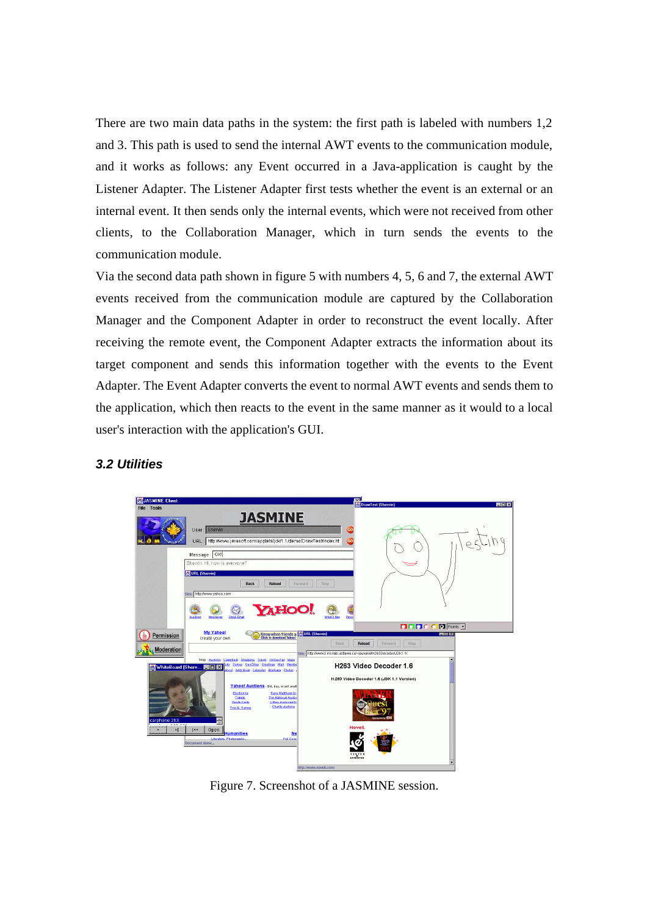There are two main data paths in the system: the first path is labeled with numbers 1,2 and 3. This path is used to send the internal AWT events to the communication module, and it works as follows: any Event occurred in a Java-application is caught by the Listener Adapter. The Listener Adapter first tests whether the event is an external or an internal event. It then sends only the internal events, which were not received from other clients, to the Collaboration Manager, which in turn sends the events to the communication module.

Via the second data path shown in figure 5 with numbers 4, 5, 6 and 7, the external AWT events received from the communication module are captured by the Collaboration Manager and the Component Adapter in order to reconstruct the event locally. After receiving the remote event, the Component Adapter extracts the information about its target component and sends this information together with the events to the Event Adapter. The Event Adapter converts the event to normal AWT events and sends them to the application, which then reacts to the event in the same manner as it would to a local user's interaction with the application's GUI.



#### *3.2 Utilities*

Figure 7. Screenshot of a JASMINE session.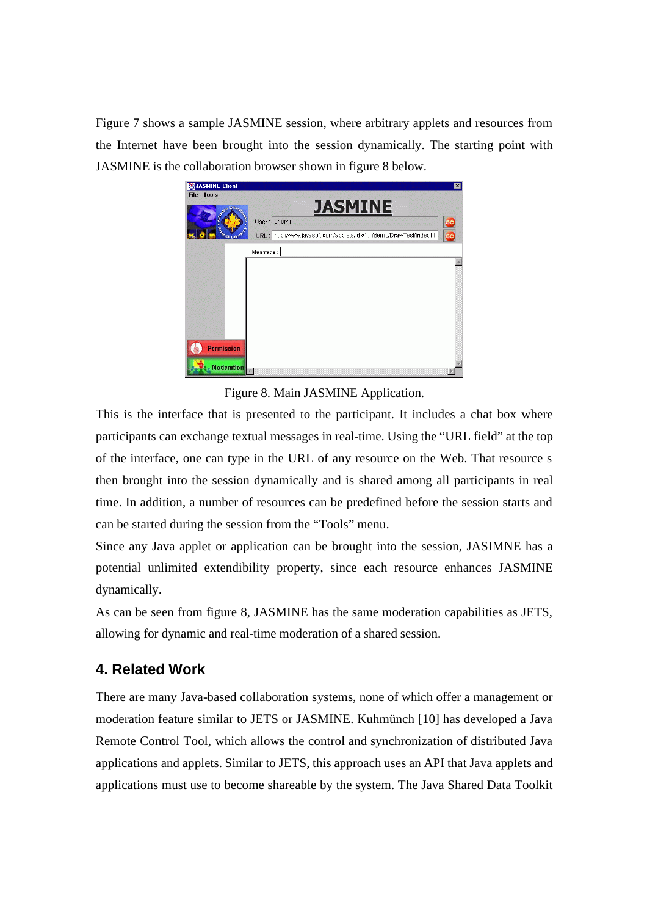Figure 7 shows a sample JASMINE session, where arbitrary applets and resources from the Internet have been brought into the session dynamically. The starting point with JASMINE is the collaboration browser shown in figure 8 below.



Figure 8. Main JASMINE Application.

This is the interface that is presented to the participant. It includes a chat box where participants can exchange textual messages in real-time. Using the "URL field" at the top of the interface, one can type in the URL of any resource on the Web. That resource s then brought into the session dynamically and is shared among all participants in real time. In addition, a number of resources can be predefined before the session starts and can be started during the session from the "Tools" menu.

Since any Java applet or application can be brought into the session, JASIMNE has a potential unlimited extendibility property, since each resource enhances JASMINE dynamically.

As can be seen from figure 8, JASMINE has the same moderation capabilities as JETS, allowing for dynamic and real-time moderation of a shared session.

# **4. Related Work**

There are many Java-based collaboration systems, none of which offer a management or moderation feature similar to JETS or JASMINE. Kuhmünch [10] has developed a Java Remote Control Tool, which allows the control and synchronization of distributed Java applications and applets. Similar to JETS, this approach uses an API that Java applets and applications must use to become shareable by the system. The Java Shared Data Toolkit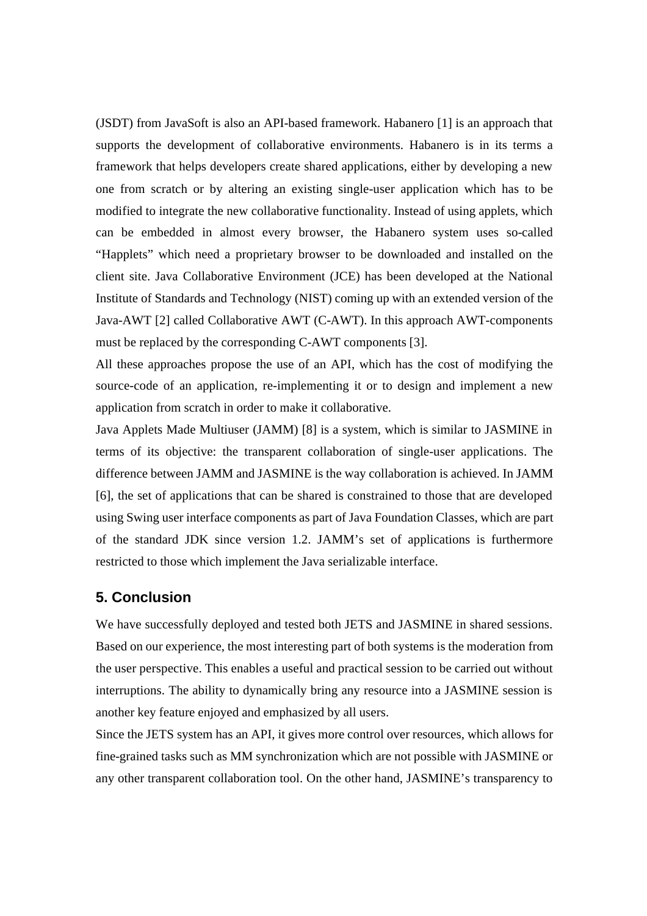(JSDT) from JavaSoft is also an API-based framework. Habanero [1] is an approach that supports the development of collaborative environments. Habanero is in its terms a framework that helps developers create shared applications, either by developing a new one from scratch or by altering an existing single-user application which has to be modified to integrate the new collaborative functionality. Instead of using applets, which can be embedded in almost every browser, the Habanero system uses so-called "Happlets" which need a proprietary browser to be downloaded and installed on the client site. Java Collaborative Environment (JCE) has been developed at the National Institute of Standards and Technology (NIST) coming up with an extended version of the Java-AWT [2] called Collaborative AWT (C-AWT). In this approach AWT-components must be replaced by the corresponding C-AWT components [3].

All these approaches propose the use of an API, which has the cost of modifying the source-code of an application, re-implementing it or to design and implement a new application from scratch in order to make it collaborative.

Java Applets Made Multiuser (JAMM) [8] is a system, which is similar to JASMINE in terms of its objective: the transparent collaboration of single-user applications. The difference between JAMM and JASMINE is the way collaboration is achieved. In JAMM [6], the set of applications that can be shared is constrained to those that are developed using Swing user interface components as part of Java Foundation Classes, which are part of the standard JDK since version 1.2. JAMM's set of applications is furthermore restricted to those which implement the Java serializable interface.

## **5. Conclusion**

We have successfully deployed and tested both JETS and JASMINE in shared sessions. Based on our experience, the most interesting part of both systems is the moderation from the user perspective. This enables a useful and practical session to be carried out without interruptions. The ability to dynamically bring any resource into a JASMINE session is another key feature enjoyed and emphasized by all users.

Since the JETS system has an API, it gives more control over resources, which allows for fine-grained tasks such as MM synchronization which are not possible with JASMINE or any other transparent collaboration tool. On the other hand, JASMINE's transparency to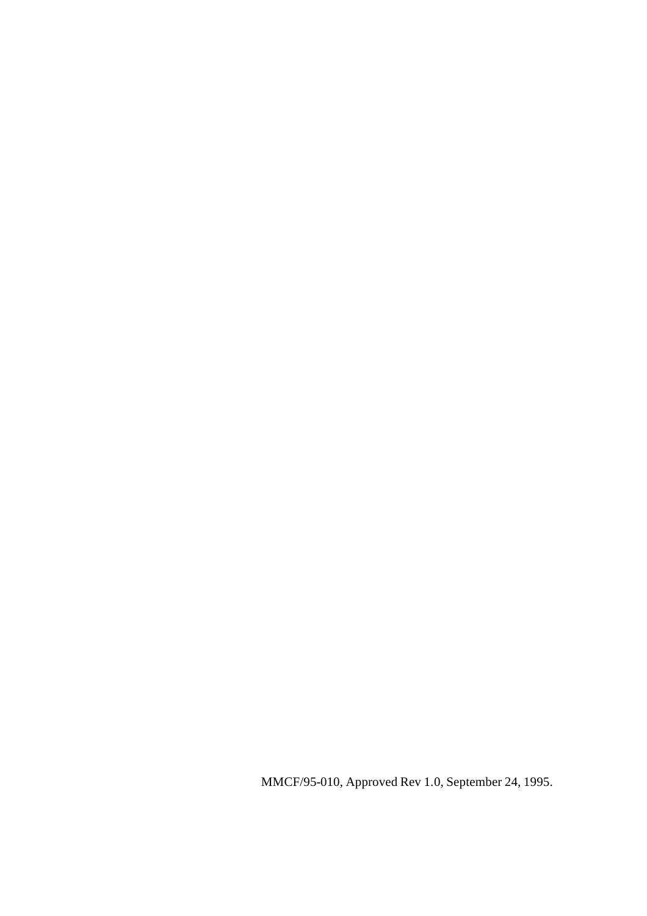MMCF/95-010, Approved Rev 1.0, September 24, 1995.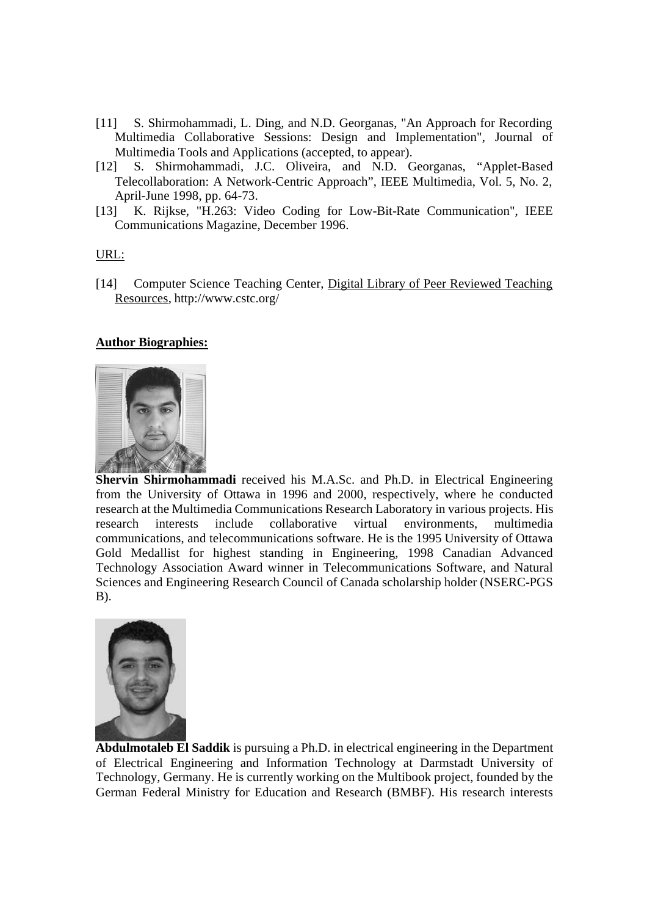- [11] S. Shirmohammadi, L. Ding, and N.D. Georganas, "An Approach for Recording Multimedia Collaborative Sessions: Design and Implementation", Journal of Multimedia Tools and Applications (accepted, to appear).
- [12] S. Shirmohammadi, J.C. Oliveira, and N.D. Georganas, "Applet-Based Telecollaboration: A Network-Centric Approach", IEEE Multimedia, Vol. 5, No. 2, April-June 1998, pp. 64-73.
- [13] K. Rijkse, "H.263: Video Coding for Low-Bit-Rate Communication", IEEE Communications Magazine, December 1996.

#### URL:

[14] Computer Science Teaching Center, Digital Library of Peer Reviewed Teaching Resources, http://www.cstc.org/

### **Author Biographies:**



**Shervin Shirmohammadi** received his M.A.Sc. and Ph.D. in Electrical Engineering from the University of Ottawa in 1996 and 2000, respectively, where he conducted research at the Multimedia Communications Research Laboratory in various projects. His research interests include collaborative virtual environments, multimedia communications, and telecommunications software. He is the 1995 University of Ottawa Gold Medallist for highest standing in Engineering, 1998 Canadian Advanced Technology Association Award winner in Telecommunications Software, and Natural Sciences and Engineering Research Council of Canada scholarship holder (NSERC-PGS B).



**Abdulmotaleb El Saddik** is pursuing a Ph.D. in electrical engineering in the Department of Electrical Engineering and Information Technology at Darmstadt University of Technology, Germany. He is currently working on the Multibook project, founded by the German Federal Ministry for Education and Research (BMBF). His research interests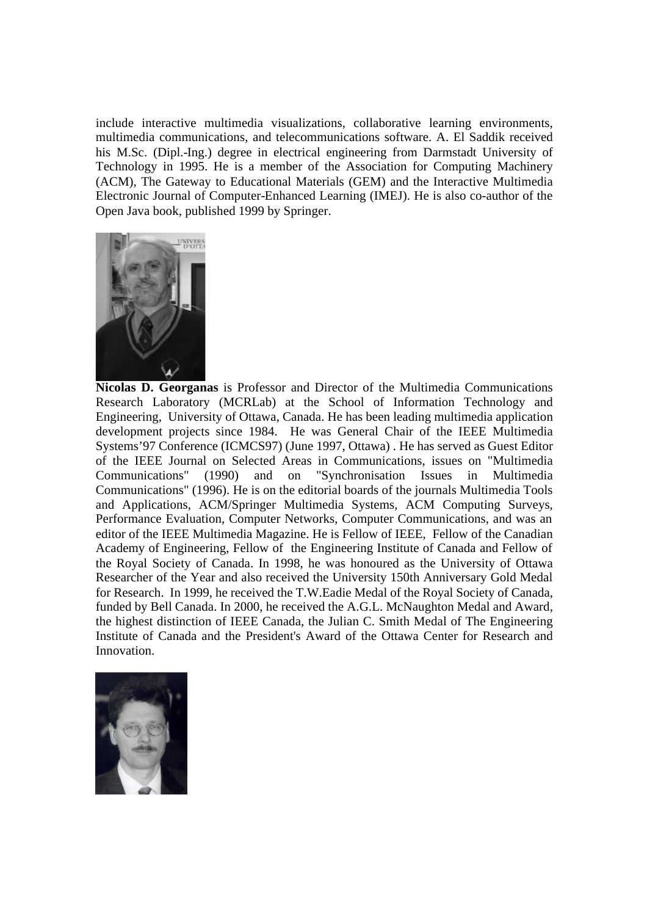include interactive multimedia visualizations, collaborative learning environments, multimedia communications, and telecommunications software. A. El Saddik received his M.Sc. (Dipl.-Ing.) degree in electrical engineering from Darmstadt University of Technology in 1995. He is a member of the Association for Computing Machinery (ACM), The Gateway to Educational Materials (GEM) and the Interactive Multimedia Electronic Journal of Computer-Enhanced Learning (IMEJ). He is also co-author of the Open Java book, published 1999 by Springer.



**Nicolas D. Georganas** is Professor and Director of the Multimedia Communications Research Laboratory (MCRLab) at the School of Information Technology and Engineering, University of Ottawa, Canada. He has been leading multimedia application development projects since 1984. He was General Chair of the IEEE Multimedia Systems'97 Conference (ICMCS97) (June 1997, Ottawa) . He has served as Guest Editor of the IEEE Journal on Selected Areas in Communications, issues on "Multimedia Communications" (1990) and on "Synchronisation Issues in Multimedia Communications" (1996). He is on the editorial boards of the journals Multimedia Tools and Applications, ACM/Springer Multimedia Systems, ACM Computing Surveys, Performance Evaluation, Computer Networks, Computer Communications, and was an editor of the IEEE Multimedia Magazine. He is Fellow of IEEE, Fellow of the Canadian Academy of Engineering, Fellow of the Engineering Institute of Canada and Fellow of the Royal Society of Canada. In 1998, he was honoured as the University of Ottawa Researcher of the Year and also received the University 150th Anniversary Gold Medal for Research. In 1999, he received the T.W.Eadie Medal of the Royal Society of Canada, funded by Bell Canada. In 2000, he received the A.G.L. McNaughton Medal and Award, the highest distinction of IEEE Canada, the Julian C. Smith Medal of The Engineering Institute of Canada and the President's Award of the Ottawa Center for Research and Innovation.